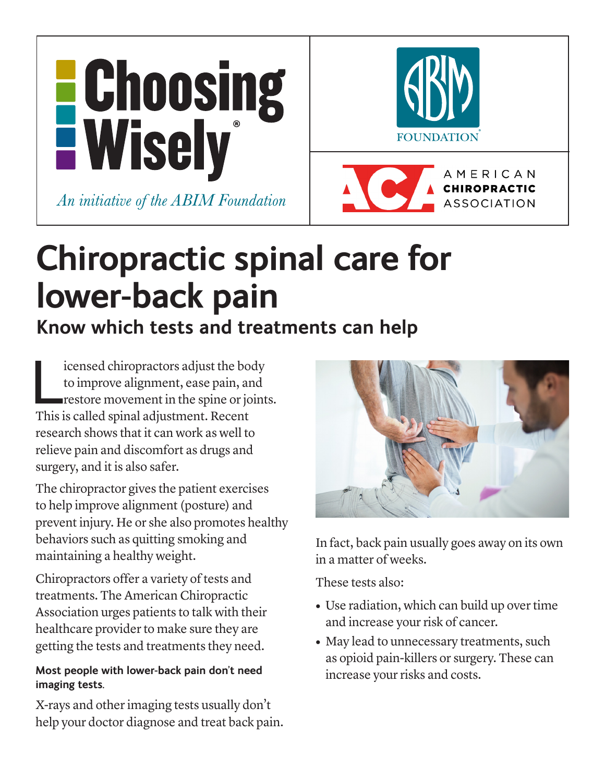



**CHIROPRACTIC** 

**ASSOCIATION** 

**Chiropractic spinal care for lower-back pain**

# **Know which tests and treatments can help**

icensed chiropractors adjust the bo<br>to improve alignment, ease pain, and<br>restore movement in the spine or jo<br>This is called spinal adjustment. Recent icensed chiropractors adjust the body to improve alignment, ease pain, and restore movement in the spine or joints. research shows that it can work as well to relieve pain and discomfort as drugs and surgery, and it is also safer.

The chiropractor gives the patient exercises to help improve alignment (posture) and prevent injury. He or she also promotes healthy behaviors such as quitting smoking and maintaining a healthy weight.

Chiropractors offer a variety of tests and treatments. The American Chiropractic Association urges patients to talk with their healthcare provider to make sure they are getting the tests and treatments they need.

## **Most people with lower-back pain don't need imaging tests.**

X-rays and other imaging tests usually don't help your doctor diagnose and treat back pain.



In fact, back pain usually goes away on its own in a matter of weeks.

These tests also:

- **•** Use radiation, which can build up over time and increase your risk of cancer.
- May lead to unnecessary treatments, such as opioid pain-killers or surgery. These can increase your risks and costs.